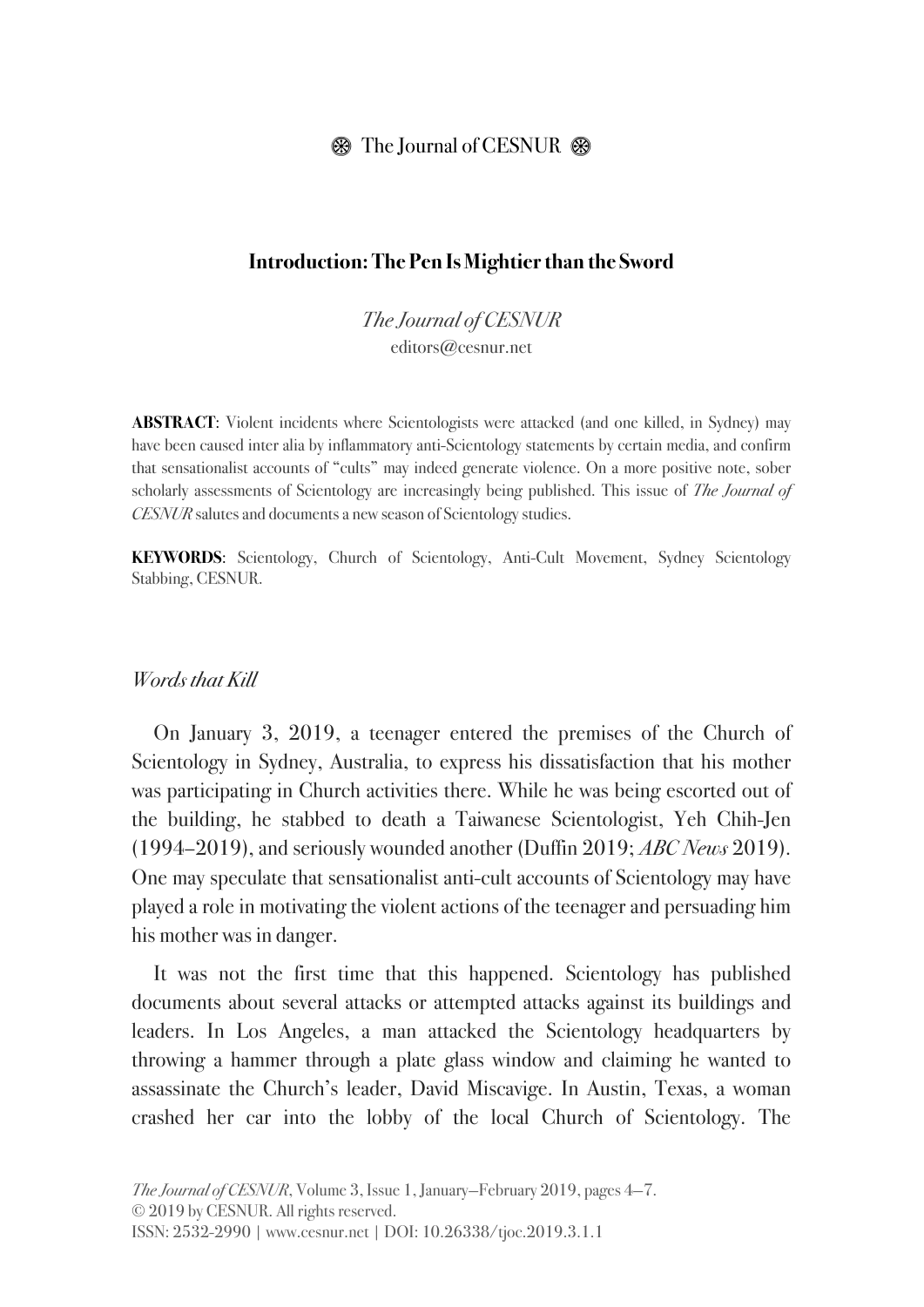## $\circledast$  The Journal of CESNUR  $\circledast$

### **Introduction: The Pen Is Mightier than the Sword**

*The Journal of CESNUR* editors@cesnur.net

**ABSTRACT**: Violent incidents where Scientologists were attacked (and one killed, in Sydney) may have been caused inter alia by inflammatory anti-Scientology statements by certain media, and confirm that sensationalist accounts of "cults" may indeed generate violence. On a more positive note, sober scholarly assessments of Scientology are increasingly being published. This issue of *The Journal of CESNUR* salutes and documents a new season of Scientology studies.

**KEYWORDS**: Scientology, Church of Scientology, Anti-Cult Movement, Sydney Scientology Stabbing, CESNUR.

#### *Words that Kill*

On January 3, 2019, a teenager entered the premises of the Church of Scientology in Sydney, Australia, to express his dissatisfaction that his mother was participating in Church activities there. While he was being escorted out of the building, he stabbed to death a Taiwanese Scientologist, Yeh Chih-Jen (1994–2019), and seriously wounded another (Duffin 2019; *ABC News* 2019). One may speculate that sensationalist anti-cult accounts of Scientology may have played a role in motivating the violent actions of the teenager and persuading him his mother was in danger.

It was not the first time that this happened. Scientology has published documents about several attacks or attempted attacks against its buildings and leaders. In Los Angeles, a man attacked the Scientology headquarters by throwing a hammer through a plate glass window and claiming he wanted to assassinate the Church's leader, David Miscavige. In Austin, Texas, a woman crashed her car into the lobby of the local Church of Scientology. The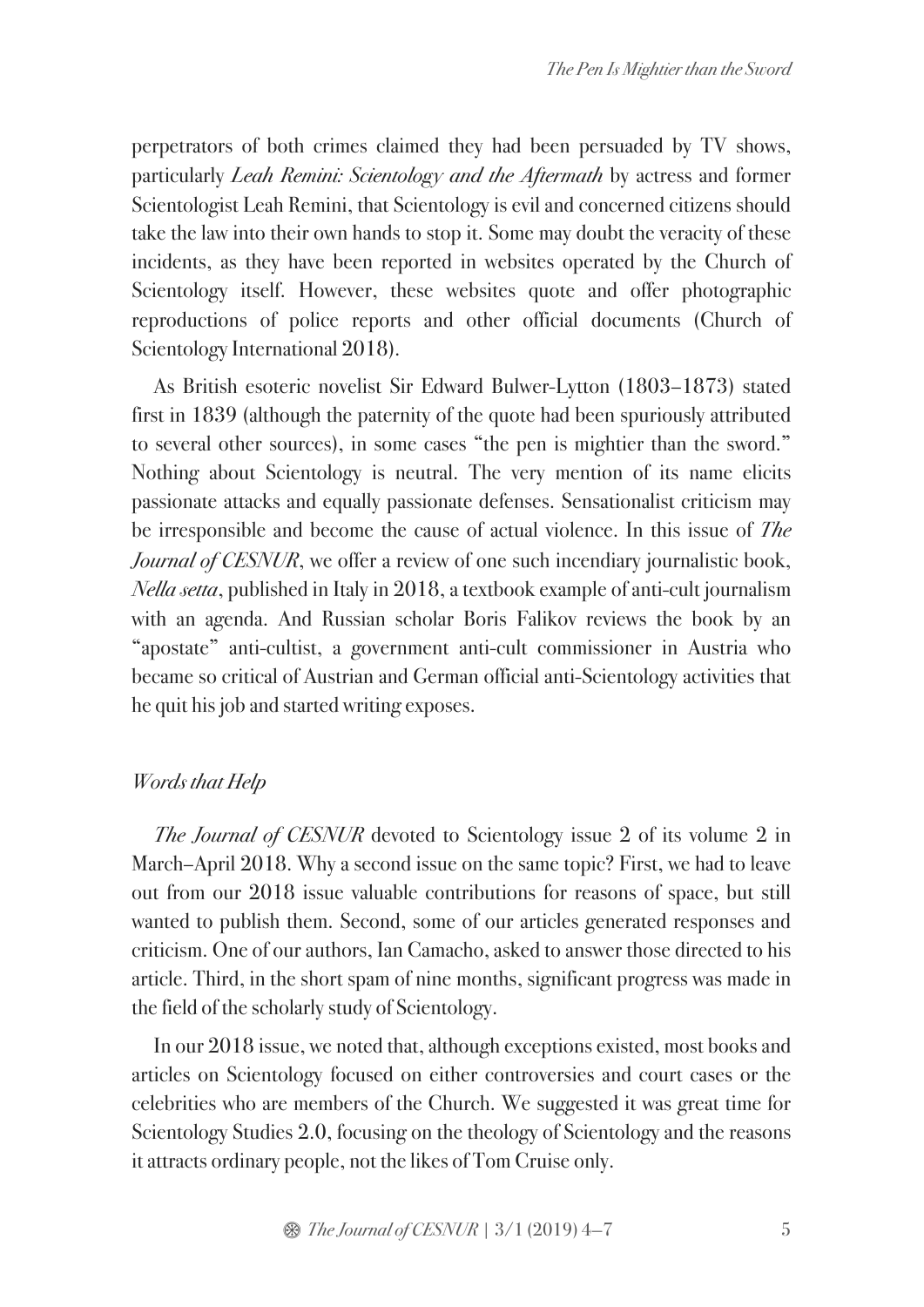perpetrators of both crimes claimed they had been persuaded by TV shows, particularly *Leah Remini: Scientology and the Aftermath* by actress and former Scientologist Leah Remini, that Scientology is evil and concerned citizens should take the law into their own hands to stop it. Some may doubt the veracity of these incidents, as they have been reported in websites operated by the Church of Scientology itself. However, these websites quote and offer photographic reproductions of police reports and other official documents (Church of Scientology International 2018).

As British esoteric novelist Sir Edward Bulwer-Lytton (1803–1873) stated first in 1839 (although the paternity of the quote had been spuriously attributed to several other sources), in some cases "the pen is mightier than the sword." Nothing about Scientology is neutral. The very mention of its name elicits passionate attacks and equally passionate defenses. Sensationalist criticism may be irresponsible and become the cause of actual violence. In this issue of *The Journal of CESNUR*, we offer a review of one such incendiary journalistic book, *Nella setta*, published in Italy in 2018, a textbook example of anti-cult journalism with an agenda. And Russian scholar Boris Falikov reviews the book by an "apostate" anti-cultist, a government anti-cult commissioner in Austria who became so critical of Austrian and German official anti-Scientology activities that he quit his job and started writing exposes.

# *Words that Help*

*The Journal of CESNUR* devoted to Scientology issue 2 of its volume 2 in March–April 2018. Why a second issue on the same topic? First, we had to leave out from our 2018 issue valuable contributions for reasons of space, but still wanted to publish them. Second, some of our articles generated responses and criticism. One of our authors, Ian Camacho, asked to answer those directed to his article. Third, in the short spam of nine months, significant progress was made in the field of the scholarly study of Scientology.

In our 2018 issue, we noted that, although exceptions existed, most books and articles on Scientology focused on either controversies and court cases or the celebrities who are members of the Church. We suggested it was great time for Scientology Studies 2.0, focusing on the theology of Scientology and the reasons it attracts ordinary people, not the likes of Tom Cruise only.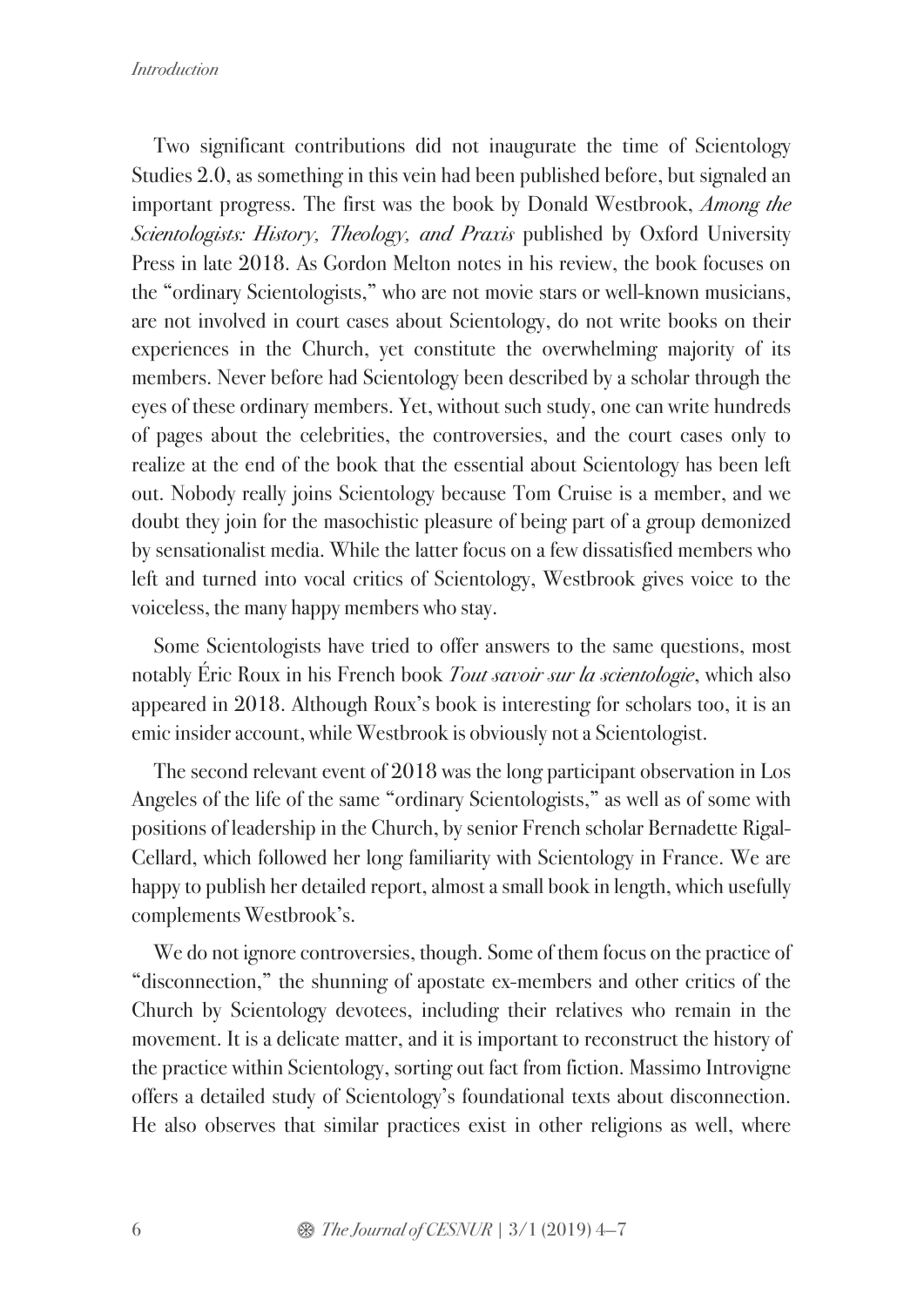Two significant contributions did not inaugurate the time of Scientology Studies 2.0, as something in this vein had been published before, but signaled an important progress. The first was the book by Donald Westbrook, *Among the Scientologists: History, Theology, and Praxis* published by Oxford University Press in late 2018. As Gordon Melton notes in his review, the book focuses on the "ordinary Scientologists," who are not movie stars or well-known musicians, are not involved in court cases about Scientology, do not write books on their experiences in the Church, yet constitute the overwhelming majority of its members. Never before had Scientology been described by a scholar through the eyes of these ordinary members. Yet, without such study, one can write hundreds of pages about the celebrities, the controversies, and the court cases only to realize at the end of the book that the essential about Scientology has been left out. Nobody really joins Scientology because Tom Cruise is a member, and we doubt they join for the masochistic pleasure of being part of a group demonized by sensationalist media. While the latter focus on a few dissatisfied members who left and turned into vocal critics of Scientology, Westbrook gives voice to the voiceless, the many happy members who stay.

Some Scientologists have tried to offer answers to the same questions, most notably Éric Roux in his French book *Tout savoir sur la scientologie*, which also appeared in 2018. Although Roux's book is interesting for scholars too, it is an emic insider account, while Westbrook is obviously not a Scientologist.

The second relevant event of 2018 was the long participant observation in Los Angeles of the life of the same "ordinary Scientologists," as well as of some with positions of leadership in the Church, by senior French scholar Bernadette Rigal-Cellard, which followed her long familiarity with Scientology in France. We are happy to publish her detailed report, almost a small book in length, which usefully complements Westbrook's.

We do not ignore controversies, though. Some of them focus on the practice of "disconnection," the shunning of apostate ex-members and other critics of the Church by Scientology devotees, including their relatives who remain in the movement. It is a delicate matter, and it is important to reconstruct the history of the practice within Scientology, sorting out fact from fiction. Massimo Introvigne offers a detailed study of Scientology's foundational texts about disconnection. He also observes that similar practices exist in other religions as well, where